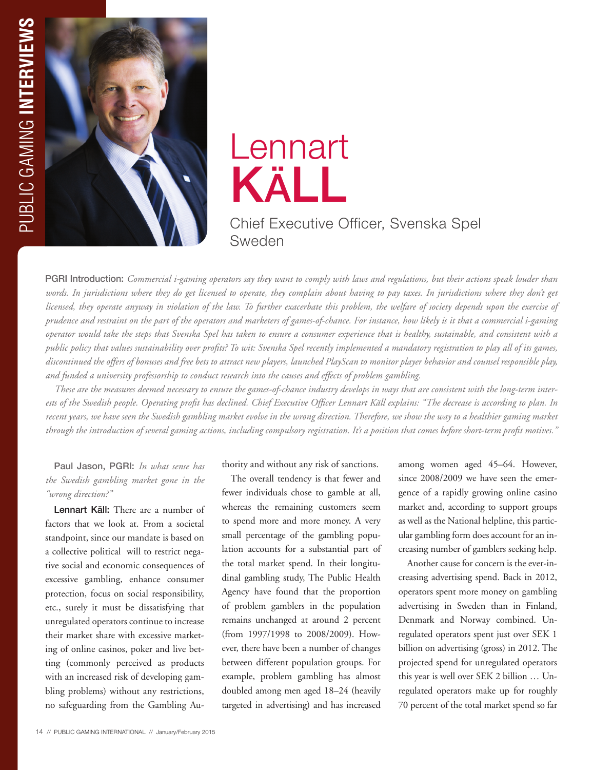

## Lennart KäLL

## Chief Executive Officer, Svenska Spel Sweden

PGRI Introduction: *Commercial i-gaming operators say they want to comply with laws and regulations, but their actions speak louder than*  words. In jurisdictions where they do get licensed to operate, they complain about having to pay taxes. In jurisdictions where they don't get *licensed, they operate anyway in violation of the law. To further exacerbate this problem, the welfare of society depends upon the exercise of prudence and restraint on the part of the operators and marketers of games-of-chance. For instance, how likely is it that a commercial i-gaming operator would take the steps that Svenska Spel has taken to ensure a consumer experience that is healthy, sustainable, and consistent with a public policy that values sustainability over profits? To wit: Svenska Spel recently implemented a mandatory registration to play all of its games, discontinued the offers of bonuses and free bets to attract new players, launched PlayScan to monitor player behavior and counsel responsible play, and funded a university professorship to conduct research into the causes and effects of problem gambling.* 

*These are the measures deemed necessary to ensure the games-of-chance industry develops in ways that are consistent with the long-term interests of the Swedish people. Operating profit has declined. Chief Executive Officer Lennart Käll explains: "The decrease is according to plan. In recent years, we have seen the Swedish gambling market evolve in the wrong direction. Therefore, we show the way to a healthier gaming market through the introduction of several gaming actions, including compulsory registration. It's a position that comes before short-term profit motives."*

## Paul Jason, PGRI: *In what sense has the Swedish gambling market gone in the "wrong direction?"*

Lennart Käll: There are a number of factors that we look at. From a societal standpoint, since our mandate is based on a collective political will to restrict negative social and economic consequences of excessive gambling, enhance consumer protection, focus on social responsibility, etc., surely it must be dissatisfying that unregulated operators continue to increase their market share with excessive marketing of online casinos, poker and live betting (commonly perceived as products with an increased risk of developing gambling problems) without any restrictions, no safeguarding from the Gambling Authority and without any risk of sanctions.

The overall tendency is that fewer and fewer individuals chose to gamble at all, whereas the remaining customers seem to spend more and more money. A very small percentage of the gambling population accounts for a substantial part of the total market spend. In their longitudinal gambling study, The Public Health Agency have found that the proportion of problem gamblers in the population remains unchanged at around 2 percent (from 1997/1998 to 2008/2009). However, there have been a number of changes between different population groups. For example, problem gambling has almost doubled among men aged 18–24 (heavily targeted in advertising) and has increased

among women aged 45–64. However, since 2008/2009 we have seen the emergence of a rapidly growing online casino market and, according to support groups as well as the National helpline, this particular gambling form does account for an increasing number of gamblers seeking help.

Another cause for concern is the ever-increasing advertising spend. Back in 2012, operators spent more money on gambling advertising in Sweden than in Finland, Denmark and Norway combined. Unregulated operators spent just over SEK 1 billion on advertising (gross) in 2012. The projected spend for unregulated operators this year is well over SEK 2 billion … Unregulated operators make up for roughly 70 percent of the total market spend so far